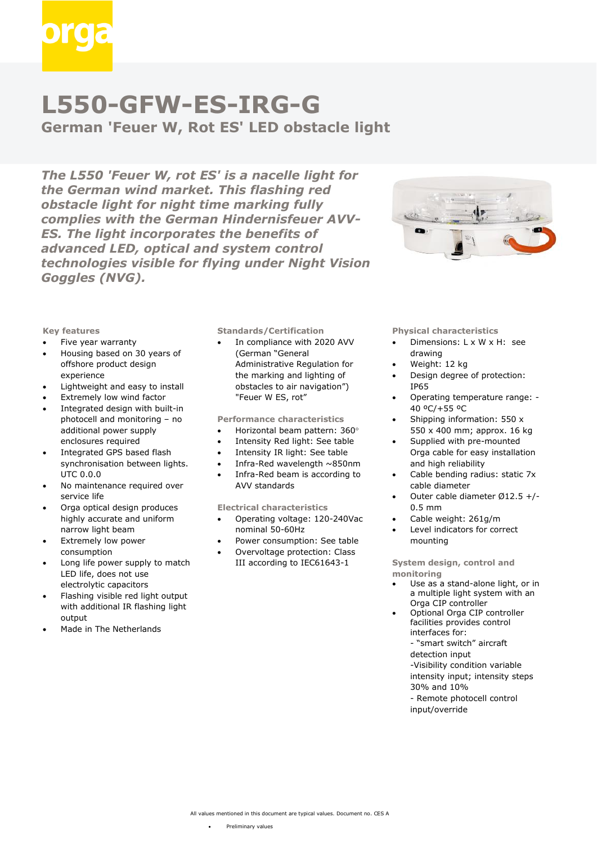

# **L550-GFW-ES-IRG-G**

**German 'Feuer W, Rot ES' LED obstacle light**

*The L550 'Feuer W, rot ES' is a nacelle light for the German wind market. This flashing red obstacle light for night time marking fully complies with the German Hindernisfeuer AVV-ES. The light incorporates the benefits of advanced LED, optical and system control technologies visible for flying under Night Vision Goggles (NVG).*



#### **Key features**

- Five year warranty
- Housing based on 30 years of offshore product design experience
- Lightweight and easy to install
- Extremely low wind factor
- Integrated design with built-in photocell and monitoring – no additional power supply enclosures required
- Integrated GPS based flash synchronisation between lights. UTC 0.0.0
- No maintenance required over service life
- Orga optical design produces highly accurate and uniform narrow light beam
- Extremely low power consumption
- Long life power supply to match LED life, does not use electrolytic capacitors
- Flashing visible red light output with additional IR flashing light output
- Made in The Netherlands

### **Standards/Certification**

In compliance with 2020 AVV (German "General Administrative Regulation for the marking and lighting of obstacles to air navigation") "Feuer W ES, rot"

## **Performance characteristics**

- Horizontal beam pattern: 360
- Intensity Red light: See table
- Intensity IR light: See table
- Infra-Red wavelength  $\sim$ 850nm
- Infra-Red beam is according to AVV standards

**Electrical characteristics**

- Operating voltage: 120-240Vac nominal 50-60Hz
- Power consumption: See table
- Overvoltage protection: Class III according to IEC61643-1

### **Physical characteristics**

- Dimensions: L x W x H: see drawing
- Weight: 12 kg
- Design degree of protection: IP65
- Operating temperature range: 40 ºC/+55 ºC
- Shipping information: 550 x 550 x 400 mm; approx. 16 kg
- Supplied with pre-mounted Orga cable for easy installation and high reliability
- Cable bending radius: static 7x cable diameter
- Outer cable diameter Ø12.5 +/- 0.5 mm
- Cable weight: 261g/m
- Level indicators for correct mounting

**System design, control and monitoring**

- Use as a stand-alone light, or in a multiple light system with an Orga CIP controller
- Optional Orga CIP controller facilities provides control interfaces for:
	- "smart switch" aircraft detection input -Visibility condition variable intensity input; intensity steps 30% and 10% - Remote photocell control
		- input/override